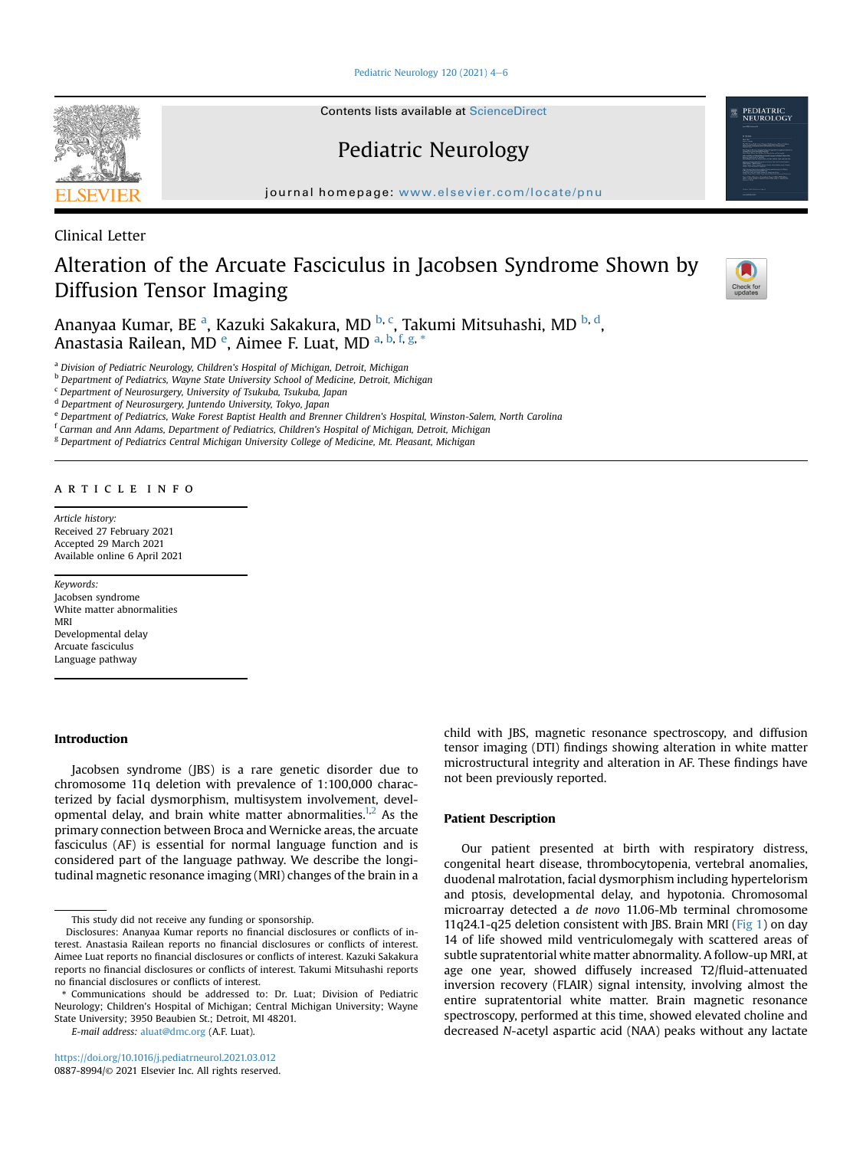Pediatric Neurology 120 (2021)  $4-6$  $4-6$ 

Contents lists available at ScienceDirect

Pediatric Neurology

journal homepage: <www.elsevier.com/locate/pnu>

Clinical Letter

# Alteration of the Arcuate Fasciculus in Jacobsen Syndrome Shown by Diffusion Tensor Imaging



PEDIATRIC<br>NEUROLOGY

An[a](#page-0-0)nyaa Kumar, BE <sup>a</sup>, Kazuki Sakakura, MD <sup>[b,](#page-0-1) [c](#page-0-2)</sup>, Takumi Mitsuhashi, MD <sup>b, [d](#page-0-3)</sup>, Anastasia Rail[e](#page-0-4)[a](#page-0-0)n, MD <sup>e</sup>, Aimee F. Luat, MD <sup>a, [b](#page-0-1), [f,](#page-0-5) [g](#page-0-6), [\\*](#page-0-7)</sup>

<span id="page-0-0"></span>a Division of Pediatric Neurology, Children's Hospital of Michigan, Detroit, Michigan

<span id="page-0-1"></span>**b** Department of Pediatrics, Wayne State University School of Medicine, Detroit, Michigan

<span id="page-0-2"></span><sup>c</sup> Department of Neurosurgery, University of Tsukuba, Tsukuba, Japan

<span id="page-0-3"></span><sup>d</sup> Department of Neurosurgery, Juntendo University, Tokyo, Japan

<span id="page-0-4"></span><sup>e</sup> Department of Pediatrics, Wake Forest Baptist Health and Brenner Children's Hospital, Winston-Salem, North Carolina

<span id="page-0-5"></span><sup>f</sup> Carman and Ann Adams, Department of Pediatrics, Children's Hospital of Michigan, Detroit, Michigan

<span id="page-0-6"></span><sup>g</sup> Department of Pediatrics Central Michigan University College of Medicine, Mt. Pleasant, Michigan

#### article info

Article history: Received 27 February 2021 Accepted 29 March 2021 Available online 6 April 2021

Keywords: Jacobsen syndrome White matter abnormalities MRI Developmental delay Arcuate fasciculus Language pathway

## Introduction

Jacobsen syndrome (JBS) is a rare genetic disorder due to chromosome 11q deletion with prevalence of 1:100,000 characterized by facial dysmorphism, multisystem involvement, developmental delay, and brain white matter abnormalities. $1,2$  $1,2$  As the primary connection between Broca and Wernicke areas, the arcuate fasciculus (AF) is essential for normal language function and is considered part of the language pathway. We describe the longitudinal magnetic resonance imaging (MRI) changes of the brain in a

This study did not receive any funding or sponsorship.

<span id="page-0-7"></span>\* Communications should be addressed to: Dr. Luat; Division of Pediatric Neurology; Children's Hospital of Michigan; Central Michigan University; Wayne State University; 3950 Beaubien St.; Detroit, MI 48201.

E-mail address: [aluat@dmc.org](mailto:aluat@dmc.org) (A.F. Luat).

child with JBS, magnetic resonance spectroscopy, and diffusion tensor imaging (DTI) findings showing alteration in white matter microstructural integrity and alteration in AF. These findings have not been previously reported.

#### Patient Description

Our patient presented at birth with respiratory distress, congenital heart disease, thrombocytopenia, vertebral anomalies, duodenal malrotation, facial dysmorphism including hypertelorism and ptosis, developmental delay, and hypotonia. Chromosomal microarray detected a de novo 11.06-Mb terminal chromosome 11q24.1-q25 deletion consistent with JBS. Brain MRI ([Fig 1\)](#page-1-0) on day 14 of life showed mild ventriculomegaly with scattered areas of subtle supratentorial white matter abnormality. A follow-up MRI, at age one year, showed diffusely increased T2/fluid-attenuated inversion recovery (FLAIR) signal intensity, involving almost the entire supratentorial white matter. Brain magnetic resonance spectroscopy, performed at this time, showed elevated choline and decreased N-acetyl aspartic acid (NAA) peaks without any lactate

Disclosures: Ananyaa Kumar reports no financial disclosures or conflicts of interest. Anastasia Railean reports no financial disclosures or conflicts of interest. Aimee Luat reports no financial disclosures or conflicts of interest. Kazuki Sakakura reports no financial disclosures or conflicts of interest. Takumi Mitsuhashi reports no financial disclosures or conflicts of interest.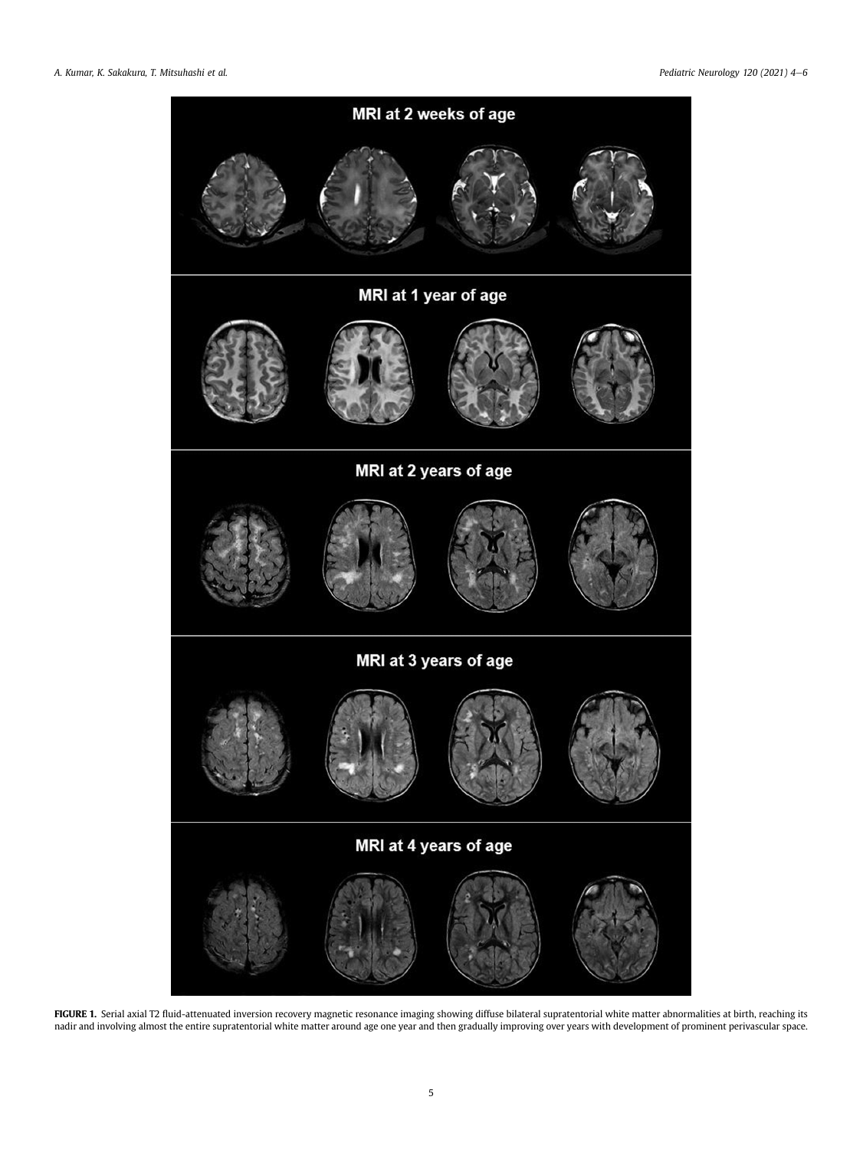<span id="page-1-0"></span>

FIGURE 1. Serial axial T2 fluid-attenuated inversion recovery magnetic resonance imaging showing diffuse bilateral supratentorial white matter abnormalities at birth, reaching its nadir and involving almost the entire supratentorial white matter around age one year and then gradually improving over years with development of prominent perivascular space.